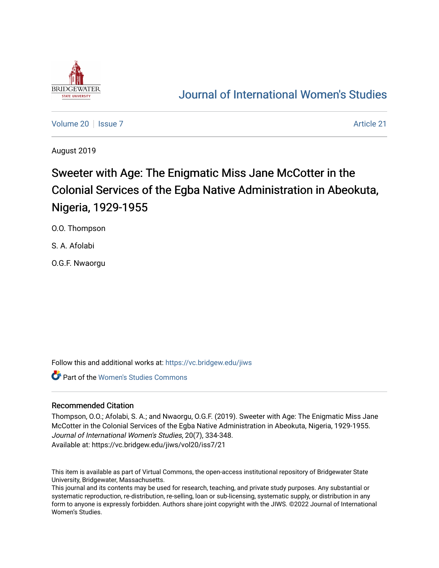

# [Journal of International Women's Studies](https://vc.bridgew.edu/jiws)

[Volume 20](https://vc.bridgew.edu/jiws/vol20) | [Issue 7](https://vc.bridgew.edu/jiws/vol20/iss7) Article 21

August 2019

# Sweeter with Age: The Enigmatic Miss Jane McCotter in the Colonial Services of the Egba Native Administration in Abeokuta, Nigeria, 1929-1955

O.O. Thompson

S. A. Afolabi

O.G.F. Nwaorgu

Follow this and additional works at: [https://vc.bridgew.edu/jiws](https://vc.bridgew.edu/jiws?utm_source=vc.bridgew.edu%2Fjiws%2Fvol20%2Fiss7%2F21&utm_medium=PDF&utm_campaign=PDFCoverPages)

**Part of the Women's Studies Commons** 

# Recommended Citation

Thompson, O.O.; Afolabi, S. A.; and Nwaorgu, O.G.F. (2019). Sweeter with Age: The Enigmatic Miss Jane McCotter in the Colonial Services of the Egba Native Administration in Abeokuta, Nigeria, 1929-1955. Journal of International Women's Studies, 20(7), 334-348. Available at: https://vc.bridgew.edu/jiws/vol20/iss7/21

This item is available as part of Virtual Commons, the open-access institutional repository of Bridgewater State University, Bridgewater, Massachusetts.

This journal and its contents may be used for research, teaching, and private study purposes. Any substantial or systematic reproduction, re-distribution, re-selling, loan or sub-licensing, systematic supply, or distribution in any form to anyone is expressly forbidden. Authors share joint copyright with the JIWS. ©2022 Journal of International Women's Studies.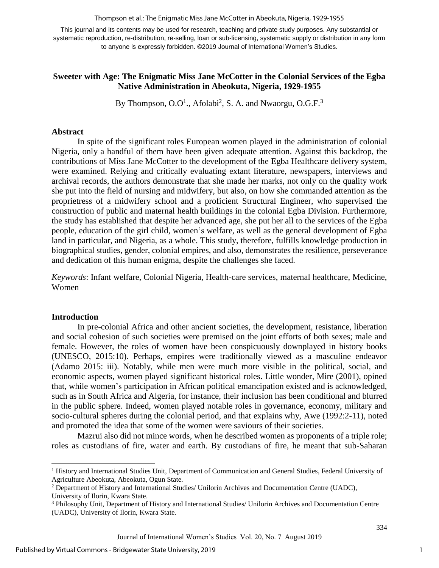Thompson et al.: The Enigmatic Miss Jane McCotter in Abeokuta, Nigeria, 1929-1955

This journal and its contents may be used for research, teaching and private study purposes. Any substantial or systematic reproduction, re-distribution, re-selling, loan or sub-licensing, systematic supply or distribution in any form to anyone is expressly forbidden. ©2019 Journal of International Women's Studies.

# **Sweeter with Age: The Enigmatic Miss Jane McCotter in the Colonial Services of the Egba Native Administration in Abeokuta, Nigeria, 1929-1955**

By Thompson, O.O<sup>1</sup>., Afolabi<sup>2</sup>, S. A. and Nwaorgu, O.G.F.<sup>3</sup>

### **Abstract**

In spite of the significant roles European women played in the administration of colonial Nigeria, only a handful of them have been given adequate attention. Against this backdrop, the contributions of Miss Jane McCotter to the development of the Egba Healthcare delivery system, were examined. Relying and critically evaluating extant literature, newspapers, interviews and archival records, the authors demonstrate that she made her marks, not only on the quality work she put into the field of nursing and midwifery, but also, on how she commanded attention as the proprietress of a midwifery school and a proficient Structural Engineer, who supervised the construction of public and maternal health buildings in the colonial Egba Division. Furthermore, the study has established that despite her advanced age, she put her all to the services of the Egba people, education of the girl child, women's welfare, as well as the general development of Egba land in particular, and Nigeria, as a whole. This study, therefore, fulfills knowledge production in biographical studies, gender, colonial empires, and also, demonstrates the resilience, perseverance and dedication of this human enigma, despite the challenges she faced.

*Keywords*: Infant welfare, Colonial Nigeria, Health-care services, maternal healthcare, Medicine, Women

#### **Introduction**

 $\overline{\phantom{a}}$ 

In pre-colonial Africa and other ancient societies, the development, resistance, liberation and social cohesion of such societies were premised on the joint efforts of both sexes; male and female. However, the roles of women have been conspicuously downplayed in history books (UNESCO, 2015:10). Perhaps, empires were traditionally viewed as a masculine endeavor (Adamo 2015: iii). Notably, while men were much more visible in the political, social, and economic aspects, women played significant historical roles. Little wonder, Mire (2001), opined that, while women's participation in African political emancipation existed and is acknowledged, such as in South Africa and Algeria, for instance, their inclusion has been conditional and blurred in the public sphere. Indeed, women played notable roles in governance, economy, military and socio-cultural spheres during the colonial period, and that explains why, Awe (1992:2-11), noted and promoted the idea that some of the women were saviours of their societies.

Mazrui also did not mince words, when he described women as proponents of a triple role; roles as custodians of fire, water and earth. By custodians of fire, he meant that sub-Saharan

<sup>1</sup> History and International Studies Unit, Department of Communication and General Studies, Federal University of Agriculture Abeokuta, Abeokuta, Ogun State.

<sup>2</sup> Department of History and International Studies/ Unilorin Archives and Documentation Centre (UADC),

University of Ilorin, Kwara State.

<sup>3</sup> Philosophy Unit, Department of History and International Studies/ Unilorin Archives and Documentation Centre (UADC), University of Ilorin, Kwara State.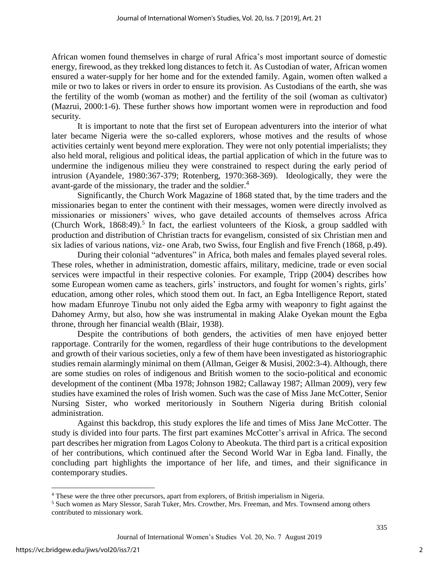African women found themselves in charge of rural Africa's most important source of domestic energy, firewood, as they trekked long distances to fetch it. As Custodian of water, African women ensured a water-supply for her home and for the extended family. Again, women often walked a mile or two to lakes or rivers in order to ensure its provision. As Custodians of the earth, she was the fertility of the womb (woman as mother) and the fertility of the soil (woman as cultivator) (Mazrui, 2000:1-6). These further shows how important women were in reproduction and food security.

It is important to note that the first set of European adventurers into the interior of what later became Nigeria were the so-called explorers, whose motives and the results of whose activities certainly went beyond mere exploration. They were not only potential imperialists; they also held moral, religious and political ideas, the partial application of which in the future was to undermine the indigenous milieu they were constrained to respect during the early period of intrusion (Ayandele, 1980:367-379; Rotenberg, 1970:368-369). Ideologically, they were the avant-garde of the missionary, the trader and the soldier.<sup>4</sup>

Significantly, the Church Work Magazine of 1868 stated that, by the time traders and the missionaries began to enter the continent with their messages, women were directly involved as missionaries or missioners' wives, who gave detailed accounts of themselves across Africa (Church Work,  $1868:49$ ).<sup>5</sup> In fact, the earliest volunteers of the Kiosk, a group saddled with production and distribution of Christian tracts for evangelism, consisted of six Christian men and six ladies of various nations, viz- one Arab, two Swiss, four English and five French (1868, p.49).

During their colonial "adventures" in Africa, both males and females played several roles. These roles, whether in administration, domestic affairs, military, medicine, trade or even social services were impactful in their respective colonies. For example, Tripp (2004) describes how some European women came as teachers, girls' instructors, and fought for women's rights, girls' education, among other roles, which stood them out. In fact, an Egba Intelligence Report, stated how madam Efunroye Tinubu not only aided the Egba army with weaponry to fight against the Dahomey Army, but also, how she was instrumental in making Alake Oyekan mount the Egba throne, through her financial wealth (Blair, 1938).

Despite the contributions of both genders, the activities of men have enjoyed better rapportage. Contrarily for the women, regardless of their huge contributions to the development and growth of their various societies, only a few of them have been investigated as historiographic studies remain alarmingly minimal on them (Allman, Geiger & Musisi, 2002:3-4). Although, there are some studies on roles of indigenous and British women to the socio-political and economic development of the continent (Mba 1978; Johnson 1982; Callaway 1987; Allman 2009), very few studies have examined the roles of Irish women. Such was the case of Miss Jane McCotter, Senior Nursing Sister, who worked meritoriously in Southern Nigeria during British colonial administration.

Against this backdrop, this study explores the life and times of Miss Jane McCotter. The study is divided into four parts. The first part examines McCotter's arrival in Africa. The second part describes her migration from Lagos Colony to Abeokuta. The third part is a critical exposition of her contributions, which continued after the Second World War in Egba land. Finally, the concluding part highlights the importance of her life, and times, and their significance in contemporary studies.

 $\overline{\phantom{a}}$ 

<sup>4</sup> These were the three other precursors, apart from explorers, of British imperialism in Nigeria.

<sup>5</sup> Such women as Mary Slessor, Sarah Tuker, Mrs. Crowther, Mrs. Freeman, and Mrs. Townsend among others contributed to missionary work.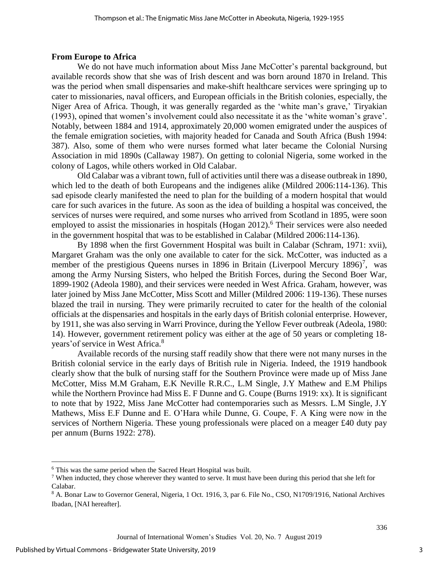#### **From Europe to Africa**

We do not have much information about Miss Jane McCotter's parental background, but available records show that she was of Irish descent and was born around 1870 in Ireland. This was the period when small dispensaries and make-shift healthcare services were springing up to cater to missionaries, naval officers, and European officials in the British colonies, especially, the Niger Area of Africa. Though, it was generally regarded as the 'white man's grave,' Tiryakian (1993), opined that women's involvement could also necessitate it as the 'white woman's grave'. Notably, between 1884 and 1914, approximately 20,000 women emigrated under the auspices of the female emigration societies, with majority headed for Canada and South Africa (Bush 1994: 387). Also, some of them who were nurses formed what later became the Colonial Nursing Association in mid 1890s (Callaway 1987). On getting to colonial Nigeria, some worked in the colony of Lagos, while others worked in Old Calabar.

Old Calabar was a vibrant town, full of activities until there was a disease outbreak in 1890, which led to the death of both Europeans and the indigenes alike (Mildred 2006:114-136). This sad episode clearly manifested the need to plan for the building of a modern hospital that would care for such avarices in the future. As soon as the idea of building a hospital was conceived, the services of nurses were required, and some nurses who arrived from Scotland in 1895, were soon employed to assist the missionaries in hospitals (Hogan  $2012$ ).<sup>6</sup> Their services were also needed in the government hospital that was to be established in Calabar (Mildred 2006:114-136).

By 1898 when the first Government Hospital was built in Calabar (Schram, 1971: xvii), Margaret Graham was the only one available to cater for the sick. McCotter, was inducted as a member of the prestigious Queens nurses in 1896 in Britain (Liverpool Mercury 1896)<sup>7</sup>, was among the Army Nursing Sisters, who helped the British Forces, during the Second Boer War, 1899-1902 (Adeola 1980), and their services were needed in West Africa. Graham, however, was later joined by Miss Jane McCotter, Miss Scott and Miller (Mildred 2006: 119-136). These nurses blazed the trail in nursing. They were primarily recruited to cater for the health of the colonial officials at the dispensaries and hospitals in the early days of British colonial enterprise. However, by 1911, she was also serving in Warri Province, during the Yellow Fever outbreak (Adeola, 1980: 14). However, government retirement policy was either at the age of 50 years or completing 18 years'of service in West Africa.<sup>8</sup>

Available records of the nursing staff readily show that there were not many nurses in the British colonial service in the early days of British rule in Nigeria. Indeed, the 1919 handbook clearly show that the bulk of nursing staff for the Southern Province were made up of Miss Jane McCotter, Miss M.M Graham, E.K Neville R.R.C., L.M Single, J.Y Mathew and E.M Philips while the Northern Province had Miss E. F Dunne and G. Coupe (Burns 1919: xx). It is significant to note that by 1922, Miss Jane McCotter had contemporaries such as Messrs. L.M Single, J.Y Mathews, Miss E.F Dunne and E. O'Hara while Dunne, G. Coupe, F. A King were now in the services of Northern Nigeria. These young professionals were placed on a meager £40 duty pay per annum (Burns 1922: 278).

 $\overline{\phantom{a}}$ 

<sup>6</sup> This was the same period when the Sacred Heart Hospital was built.

<sup>&</sup>lt;sup>7</sup> When inducted, they chose wherever they wanted to serve. It must have been during this period that she left for Calabar.

<sup>8</sup> A. Bonar Law to Governor General, Nigeria, 1 Oct. 1916, 3, par 6. File No., CSO, N1709/1916, National Archives Ibadan, [NAI hereafter].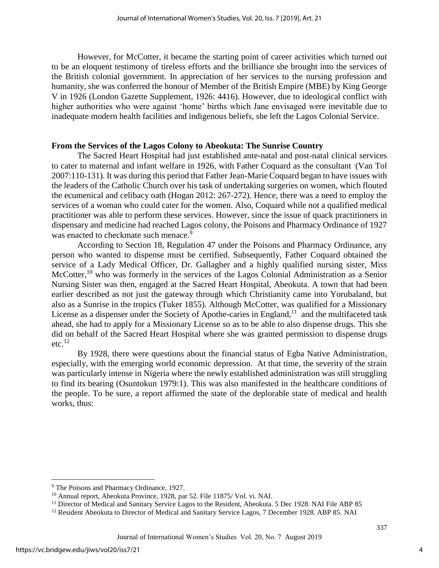However, for McCotter, it became the starting point of career activities which turned out to be an eloquent testimony of tireless efforts and the brilliance she brought into the services of the British colonial government. In appreciation of her services to the nursing profession and humanity, she was conferred the honour of Member of the British Empire (MBE) by King George V in 1926 (London Gazette Supplement, 1926: 4416). However, due to ideological conflict with higher authorities who were against 'home' births which Jane envisaged were inevitable due to inadequate modern health facilities and indigenous beliefs, she left the Lagos Colonial Service.

## **From the Services of the Lagos Colony to Abeokuta: The Sunrise Country**

The Sacred Heart Hospital had just established ante-natal and post-natal clinical services to cater to maternal and infant welfare in 1926, with Father Coquard as the consultant (Van Tol 2007:110-131). It was during this period that Father Jean-MarieCoquard began to have issues with the leaders of the Catholic Church over his task of undertaking surgeries on women, which flouted the ecumenical and celibacy oath (Hogan 2012: 267-272). Hence, there was a need to employ the services of a woman who could cater for the women. Also, Coquard while not a qualified medical practitioner was able to perform these services. However, since the issue of quack practitioners in dispensary and medicine had reached Lagos colony, the Poisons and Pharmacy Ordinance of 1927 was enacted to checkmate such menace.<sup>9</sup>

According to Section 18, Regulation 47 under the Poisons and Pharmacy Ordinance, any person who wanted to dispense must be certified. Subsequently, Father Coquard obtained the service of a Lady Medical Officer, Dr. Gallagher and a highly qualified nursing sister, Miss McCotter,<sup>10</sup> who was formerly in the services of the Lagos Colonial Administration as a Senior Nursing Sister was then, engaged at the Sacred Heart Hospital, Abeokuta. A town that had been earlier described as not just the gateway through which Christianity came into Yorubaland, but also as a Sunrise in the tropics (Tuker 1855). Although McCotter, was qualified for a Missionary License as a dispenser under the Society of Apothe-caries in England,  $11$  and the multifaceted task ahead, she had to apply for a Missionary License so as to be able to also dispense drugs. This she did on behalf of the Sacred Heart Hospital where she was granted permission to dispense drugs  $etc.<sup>12</sup>$ 

By 1928, there were questions about the financial status of Egba Native Administration, especially, with the emerging world economic depression. At that time, the severity of the strain was particularly intense in Nigeria where the newly established administration was still struggling to find its bearing (Osuntokun 1979:1). This was also manifested in the healthcare conditions of the people. To be sure, a report affirmed the state of the deplorable state of medical and health works, thus:

 $\overline{a}$ 

<sup>&</sup>lt;sup>9</sup> The Poisons and Pharmacy Ordinance, 1927.

<sup>&</sup>lt;sup>10</sup> Annual report, Abeokuta Province, 1928, par 52. File 11875/ Vol. vi. NAI.

 $11$  Director of Medical and Sanitary Service Lagos to the Resident, Abeokuta. 5 Dec 1928. NAI File ABP 85

<sup>&</sup>lt;sup>12</sup> Resident Abeokuta to Director of Medical and Sanitary Service Lagos, 7 December 1928. ABP 85. NAI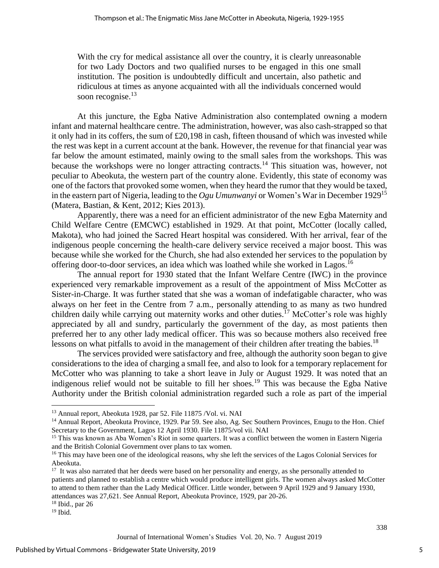With the cry for medical assistance all over the country, it is clearly unreasonable for two Lady Doctors and two qualified nurses to be engaged in this one small institution. The position is undoubtedly difficult and uncertain, also pathetic and ridiculous at times as anyone acquainted with all the individuals concerned would soon recognise.<sup>13</sup>

At this juncture, the Egba Native Administration also contemplated owning a modern infant and maternal healthcare centre. The administration, however, was also cash-strapped so that it only had in its coffers, the sum of £20,198 in cash, fifteen thousand of which was invested while the rest was kept in a current account at the bank. However, the revenue for that financial year was far below the amount estimated, mainly owing to the small sales from the workshops. This was because the workshops were no longer attracting contracts.<sup>14</sup> This situation was, however, not peculiar to Abeokuta, the western part of the country alone. Evidently, this state of economy was one of the factors that provoked some women, when they heard the rumor that they would be taxed, in the eastern part of Nigeria, leading to the *Ogu Umunwanyi* or Women's War in December 1929<sup>15</sup> (Matera, Bastian, & Kent, 2012; Kies 2013).

Apparently, there was a need for an efficient administrator of the new Egba Maternity and Child Welfare Centre (EMCWC) established in 1929. At that point, McCotter (locally called, Makota), who had joined the Sacred Heart hospital was considered. With her arrival, fear of the indigenous people concerning the health-care delivery service received a major boost. This was because while she worked for the Church, she had also extended her services to the population by offering door-to-door services, an idea which was loathed while she worked in Lagos.<sup>16</sup>

The annual report for 1930 stated that the Infant Welfare Centre (IWC) in the province experienced very remarkable improvement as a result of the appointment of Miss McCotter as Sister-in-Charge. It was further stated that she was a woman of indefatigable character, who was always on her feet in the Centre from 7 a.m., personally attending to as many as two hundred children daily while carrying out maternity works and other duties.<sup>17</sup> McCotter's role was highly appreciated by all and sundry, particularly the government of the day, as most patients then preferred her to any other lady medical officer. This was so because mothers also received free lessons on what pitfalls to avoid in the management of their children after treating the babies.<sup>18</sup>

The services provided were satisfactory and free, although the authority soon began to give considerations to the idea of charging a small fee, and also to look for a temporary replacement for McCotter who was planning to take a short leave in July or August 1929. It was noted that an indigenous relief would not be suitable to fill her shoes.<sup>19</sup> This was because the Egba Native Authority under the British colonial administration regarded such a role as part of the imperial

 $\overline{\phantom{a}}$ 

<sup>13</sup> Annual report, Abeokuta 1928, par 52. File 11875 /Vol. vi. NAI

<sup>&</sup>lt;sup>14</sup> Annual Report, Abeokuta Province, 1929. Par 59. See also, Ag. Sec Southern Provinces, Enugu to the Hon. Chief Secretary to the Government, Lagos 12 April 1930. File 11875/vol vii. NAI

<sup>&</sup>lt;sup>15</sup> This was known as Aba Women's Riot in some quarters. It was a conflict between the women in Eastern Nigeria and the British Colonial Government over plans to tax women.

<sup>&</sup>lt;sup>16</sup> This may have been one of the ideological reasons, why she left the services of the Lagos Colonial Services for Abeokuta.

<sup>&</sup>lt;sup>17</sup> It was also narrated that her deeds were based on her personality and energy, as she personally attended to patients and planned to establish a centre which would produce intelligent girls. The women always asked McCotter to attend to them rather than the Lady Medical Officer. Little wonder, between 9 April 1929 and 9 January 1930, attendances was 27,621. See Annual Report, Abeokuta Province, 1929, par 20-26.

<sup>18</sup> Ibid., par 26

 $19$  Ibid.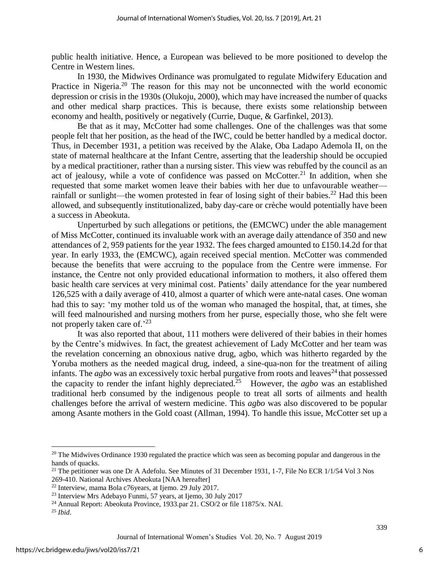public health initiative. Hence, a European was believed to be more positioned to develop the Centre in Western lines.

In 1930, the Midwives Ordinance was promulgated to regulate Midwifery Education and Practice in Nigeria.<sup>20</sup> The reason for this may not be unconnected with the world economic depression or crisis in the 1930s (Olukoju, 2000), which may have increased the number of quacks and other medical sharp practices. This is because, there exists some relationship between economy and health, positively or negatively (Currie, Duque, & Garfinkel, 2013).

Be that as it may, McCotter had some challenges. One of the challenges was that some people felt that her position, as the head of the IWC, could be better handled by a medical doctor. Thus, in December 1931, a petition was received by the Alake, Oba Ladapo Ademola II, on the state of maternal healthcare at the Infant Centre, asserting that the leadership should be occupied by a medical practitioner, rather than a nursing sister. This view was rebuffed by the council as an act of jealousy, while a vote of confidence was passed on McCotter.<sup>21</sup> In addition, when she requested that some market women leave their babies with her due to unfavourable weather rainfall or sunlight—the women protested in fear of losing sight of their babies.<sup>22</sup> Had this been allowed, and subsequently institutionalized, baby day-care or crèche would potentially have been a success in Abeokuta.

Unperturbed by such allegations or petitions, the (EMCWC) under the able management of Miss McCotter, continued its invaluable work with an average daily attendance of 350 and new attendances of 2, 959 patients for the year 1932. The fees charged amounted to £150.14.2d for that year. In early 1933, the (EMCWC), again received special mention. McCotter was commended because the benefits that were accruing to the populace from the Centre were immense. For instance, the Centre not only provided educational information to mothers, it also offered them basic health care services at very minimal cost. Patients' daily attendance for the year numbered 126,525 with a daily average of 410, almost a quarter of which were ante-natal cases. One woman had this to say: 'my mother told us of the woman who managed the hospital, that, at times, she will feed malnourished and nursing mothers from her purse, especially those, who she felt were not properly taken care of.<sup>23</sup>

It was also reported that about, 111 mothers were delivered of their babies in their homes by the Centre's midwives. In fact, the greatest achievement of Lady McCotter and her team was the revelation concerning an obnoxious native drug, agbo, which was hitherto regarded by the Yoruba mothers as the needed magical drug, indeed, a sine-qua-non for the treatment of ailing infants. The *agbo* was an excessively toxic herbal purgative from roots and leaves<sup>24</sup> that possessed the capacity to render the infant highly depreciated. <sup>25</sup> However, the *agbo* was an established traditional herb consumed by the indigenous people to treat all sorts of ailments and health challenges before the arrival of western medicine. This *agbo* was also discovered to be popular among Asante mothers in the Gold coast (Allman, 1994). To handle this issue, McCotter set up a

 $\overline{a}$ 

<sup>&</sup>lt;sup>20</sup> The Midwives Ordinance 1930 regulated the practice which was seen as becoming popular and dangerous in the hands of quacks.

<sup>&</sup>lt;sup>21</sup> The petitioner was one Dr A Adefolu. See Minutes of 31 December 1931, 1-7, File No ECR 1/1/54 Vol 3 Nos 269-410. National Archives Abeokuta [NAA hereafter]

<sup>22</sup> Interview, mama Bola c76years, at Ijemo. 29 July 2017.

<sup>23</sup> Interview Mrs Adebayo Funmi, 57 years, at Ijemo, 30 July 2017

<sup>&</sup>lt;sup>24</sup> Annual Report: Abeokuta Province, 1933.par 21. CSO/2 or file 11875/x. NAI.

<sup>25</sup> *Ibid*.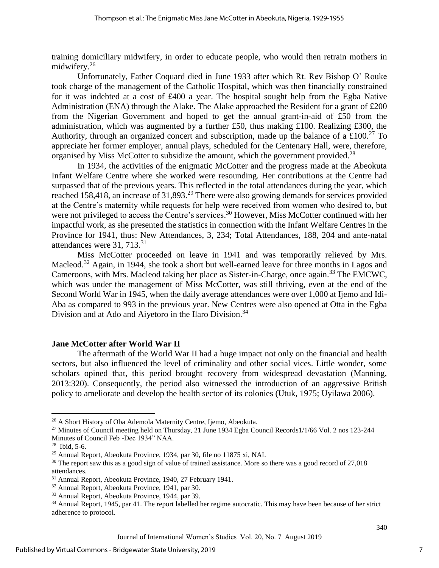training domiciliary midwifery, in order to educate people, who would then retrain mothers in midwifery.<sup>26</sup>

Unfortunately, Father Coquard died in June 1933 after which Rt. Rev Bishop O' Rouke took charge of the management of the Catholic Hospital, which was then financially constrained for it was indebted at a cost of £400 a year. The hospital sought help from the Egba Native Administration (ENA) through the Alake. The Alake approached the Resident for a grant of £200 from the Nigerian Government and hoped to get the annual grant-in-aid of £50 from the administration, which was augmented by a further £50, thus making £100. Realizing £300, the Authority, through an organized concert and subscription, made up the balance of a £100.<sup>27</sup> To appreciate her former employer, annual plays, scheduled for the Centenary Hall, were, therefore, organised by Miss McCotter to subsidize the amount, which the government provided.<sup>28</sup>

In 1934, the activities of the enigmatic McCotter and the progress made at the Abeokuta Infant Welfare Centre where she worked were resounding. Her contributions at the Centre had surpassed that of the previous years. This reflected in the total attendances during the year, which reached 158,418, an increase of 31,893.<sup>29</sup> There were also growing demands for services provided at the Centre's maternity while requests for help were received from women who desired to, but were not privileged to access the Centre's services.<sup>30</sup> However, Miss McCotter continued with her impactful work, as she presented the statistics in connection with the Infant Welfare Centres in the Province for 1941, thus: New Attendances, 3, 234; Total Attendances, 188, 204 and ante-natal attendances were 31, 713.<sup>31</sup>

Miss McCotter proceeded on leave in 1941 and was temporarily relieved by Mrs. Macleod.<sup>32</sup> Again, in 1944, she took a short but well-earned leave for three months in Lagos and Cameroons, with Mrs. Macleod taking her place as Sister-in-Charge, once again.<sup>33</sup> The EMCWC, which was under the management of Miss McCotter, was still thriving, even at the end of the Second World War in 1945, when the daily average attendances were over 1,000 at Ijemo and Idi-Aba as compared to 993 in the previous year. New Centres were also opened at Otta in the Egba Division and at Ado and Aivetoro in the Ilaro Division.<sup>34</sup>

# **Jane McCotter after World War II**

The aftermath of the World War II had a huge impact not only on the financial and health sectors, but also influenced the level of criminality and other social vices. Little wonder, some scholars opined that, this period brought recovery from widespread devastation (Manning, 2013:320). Consequently, the period also witnessed the introduction of an aggressive British policy to ameliorate and develop the health sector of its colonies (Utuk, 1975; Uyilawa 2006).

 $\overline{\phantom{a}}$ 

<sup>26</sup> A Short History of Oba Ademola Maternity Centre, Ijemo, Abeokuta.

<sup>&</sup>lt;sup>27</sup> Minutes of Council meeting held on Thursday, 21 June 1934 Egba Council Records1/1/66 Vol. 2 nos 123-244 Minutes of Council Feb -Dec 1934" NAA.

<sup>28</sup> Ibid, 5-6.

<sup>29</sup> Annual Report, Abeokuta Province, 1934, par 30, file no 11875 xi, NAI.

<sup>&</sup>lt;sup>30</sup> The report saw this as a good sign of value of trained assistance. More so there was a good record of 27,018 attendances.

<sup>31</sup> Annual Report, Abeokuta Province, 1940, 27 February 1941.

<sup>32</sup> Annual Report, Abeokuta Province, 1941, par 30.

<sup>33</sup> Annual Report, Abeokuta Province, 1944, par 39.

<sup>&</sup>lt;sup>34</sup> Annual Report, 1945, par 41. The report labelled her regime autocratic. This may have been because of her strict adherence to protocol.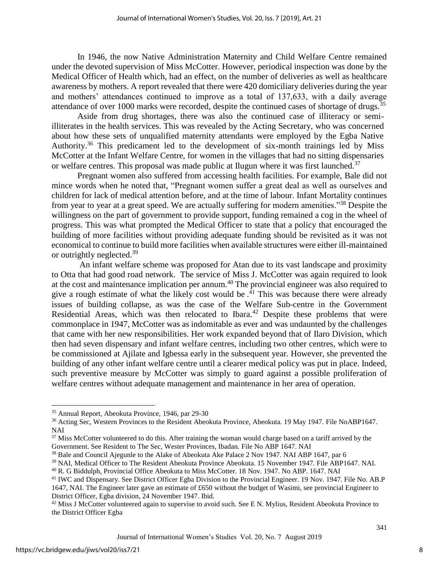In 1946, the now Native Administration Maternity and Child Welfare Centre remained under the devoted supervision of Miss McCotter. However, periodical inspection was done by the Medical Officer of Health which, had an effect, on the number of deliveries as well as healthcare awareness by mothers. A report revealed that there were 420 domiciliary deliveries during the year and mothers' attendances continued to improve as a total of 137,633, with a daily average attendance of over 1000 marks were recorded, despite the continued cases of shortage of drugs.<sup>35</sup>

Aside from drug shortages, there was also the continued case of illiteracy or semiilliterates in the health services. This was revealed by the Acting Secretary, who was concerned about how these sets of unqualified maternity attendants were employed by the Egba Native Authority.<sup>36</sup> This predicament led to the development of six-month trainings led by Miss McCotter at the Infant Welfare Centre, for women in the villages that had no sitting dispensaries or welfare centres. This proposal was made public at Ilugun where it was first launched.<sup>37</sup>

Pregnant women also suffered from accessing health facilities. For example, Bale did not mince words when he noted that, "Pregnant women suffer a great deal as well as ourselves and children for lack of medical attention before, and at the time of labour. Infant Mortality continues from year to year at a great speed. We are actually suffering for modern amenities."<sup>38</sup> Despite the willingness on the part of government to provide support, funding remained a cog in the wheel of progress. This was what prompted the Medical Officer to state that a policy that encouraged the building of more facilities without providing adequate funding should be revisited as it was not economical to continue to build more facilities when available structures were either ill-maintained or outrightly neglected.<sup>39</sup>

An infant welfare scheme was proposed for Atan due to its vast landscape and proximity to Otta that had good road network. The service of Miss J. McCotter was again required to look at the cost and maintenance implication per annum.<sup>40</sup> The provincial engineer was also required to give a rough estimate of what the likely cost would be.<sup>41</sup> This was because there were already issues of building collapse, as was the case of the Welfare Sub-centre in the Government Residential Areas, which was then relocated to Ibara.<sup>42</sup> Despite these problems that were commonplace in 1947, McCotter was as indomitable as ever and was undaunted by the challenges that came with her new responsibilities. Her work expanded beyond that of Ilaro Division, which then had seven dispensary and infant welfare centres, including two other centres, which were to be commissioned at Ajilate and Igbessa early in the subsequent year. However, she prevented the building of any other infant welfare centre until a clearer medical policy was put in place. Indeed, such preventive measure by McCotter was simply to guard against a possible proliferation of welfare centres without adequate management and maintenance in her area of operation.

 $\overline{\phantom{a}}$ 

<sup>35</sup> Annual Report, Abeokuta Province, 1946, par 29-30

<sup>36</sup> Acting Sec, Western Provinces to the Resident Abeokuta Province, Abeokuta. 19 May 1947. File NoABP1647. NAI

<sup>&</sup>lt;sup>37</sup> Miss McCotter volunteered to do this. After training the woman would charge based on a tariff arrived by the Government. See Resident to The Sec, Wester Provinces, Ibadan. File No ABP 1647. NAI

<sup>&</sup>lt;sup>38</sup> Bale and Council Ajegunle to the Alake of Abeokuta Ake Palace 2 Nov 1947. NAI ABP 1647, par 6

<sup>39</sup> NAI, Medical Officer to The Resident Abeokuta Province Abeokuta. 15 November 1947. File ABP1647. NAI.

<sup>&</sup>lt;sup>40</sup> R. G Biddulph, Provincial Office Abeokuta to Miss McCotter. 18 Nov. 1947. No ABP. 1647. NAI

<sup>41</sup> IWC and Dispensary. See District Officer Egba Division to the Provincial Engineer. 19 Nov. 1947. File No. AB.P 1647, NAI. The Engineer later gave an estimate of £650 without the budget of Wasimi, see provincial Engineer to District Officer, Egba division, 24 November 1947. Ibid.

<sup>&</sup>lt;sup>42</sup> Miss J McCotter volunteered again to supervise to avoid such. See E N. Mylius, Resident Abeokuta Province to the District Officer Egba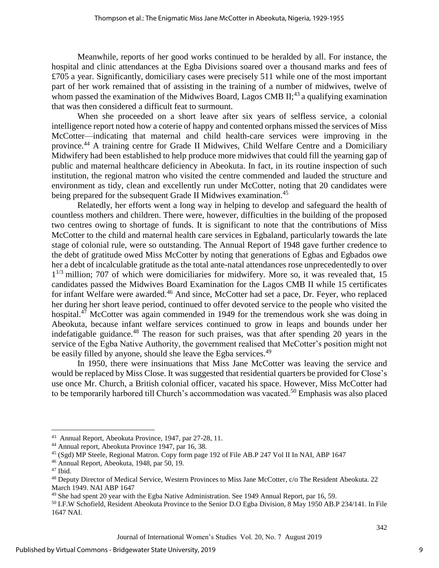Meanwhile, reports of her good works continued to be heralded by all. For instance, the hospital and clinic attendances at the Egba Divisions soared over a thousand marks and fees of £705 a year. Significantly, domiciliary cases were precisely 511 while one of the most important part of her work remained that of assisting in the training of a number of midwives, twelve of whom passed the examination of the Midwives Board, Lagos CMB  $II$ ;<sup>43</sup> a qualifying examination that was then considered a difficult feat to surmount.

When she proceeded on a short leave after six years of selfless service, a colonial intelligence report noted how a coterie of happy and contented orphans missed the services of Miss McCotter—indicating that maternal and child health-care services were improving in the province.<sup>44</sup> A training centre for Grade II Midwives, Child Welfare Centre and a Domiciliary Midwifery had been established to help produce more midwives that could fill the yearning gap of public and maternal healthcare deficiency in Abeokuta. In fact, in its routine inspection of such institution, the regional matron who visited the centre commended and lauded the structure and environment as tidy, clean and excellently run under McCotter, noting that 20 candidates were being prepared for the subsequent Grade II Midwives examination.<sup>45</sup>

Relatedly, her efforts went a long way in helping to develop and safeguard the health of countless mothers and children. There were, however, difficulties in the building of the proposed two centres owing to shortage of funds. It is significant to note that the contributions of Miss McCotter to the child and maternal health care services in Egbaland, particularly towards the late stage of colonial rule, were so outstanding. The Annual Report of 1948 gave further credence to the debt of gratitude owed Miss McCotter by noting that generations of Egbas and Egbados owe her a debt of incalculable gratitude as the total ante-natal attendances rose unprecedentedly to over 1<sup>1/3</sup> million; 707 of which were domiciliaries for midwifery. More so, it was revealed that, 15 candidates passed the Midwives Board Examination for the Lagos CMB II while 15 certificates for infant Welfare were awarded.<sup>46</sup> And since, McCotter had set a pace, Dr. Feyer, who replaced her during her short leave period, continued to offer devoted service to the people who visited the hospital.<sup>47</sup> McCotter was again commended in 1949 for the tremendous work she was doing in Abeokuta, because infant welfare services continued to grow in leaps and bounds under her indefatigable guidance.<sup>48</sup> The reason for such praises, was that after spending 20 years in the service of the Egba Native Authority, the government realised that McCotter's position might not be easily filled by anyone, should she leave the Egba services.<sup>49</sup>

In 1950, there were insinuations that Miss Jane McCotter was leaving the service and would be replaced by Miss Close. It was suggested that residential quarters be provided for Close's use once Mr. Church, a British colonial officer, vacated his space. However, Miss McCotter had to be temporarily harbored till Church's accommodation was vacated.<sup>50</sup> Emphasis was also placed

 $\overline{a}$ 

<sup>&</sup>lt;sup>43</sup> Annual Report, Abeokuta Province, 1947, par 27-28, 11.

<sup>44</sup> Annual report, Abeokuta Province 1947, par 16, 38.

<sup>45</sup> (Sgd) MP Steele, Regional Matron. Copy form page 192 of File AB.P 247 Vol II In NAI, ABP 1647

<sup>46</sup> Annual Report, Abeokuta, 1948, par 50, 19.

<sup>47</sup> Ibid.

<sup>48</sup> Deputy Director of Medical Service, Western Provinces to Miss Jane McCotter, c/o The Resident Abeokuta. 22 March 1949. NAI ABP 1647

<sup>49</sup> She had spent 20 year with the Egba Native Administration. See 1949 Annual Report, par 16, 59.

<sup>&</sup>lt;sup>50</sup> I.F.W Schofield, Resident Abeokuta Province to the Senior D.O Egba Division, 8 May 1950 AB.P 234/141. In File 1647 NAI.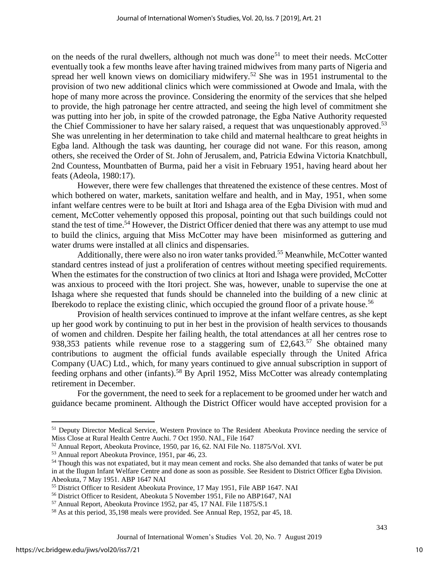on the needs of the rural dwellers, although not much was done<sup>51</sup> to meet their needs. McCotter eventually took a few months leave after having trained midwives from many parts of Nigeria and spread her well known views on domiciliary midwifery.<sup>52</sup> She was in 1951 instrumental to the provision of two new additional clinics which were commissioned at Owode and Imala, with the hope of many more across the province. Considering the enormity of the services that she helped to provide, the high patronage her centre attracted, and seeing the high level of commitment she was putting into her job, in spite of the crowded patronage, the Egba Native Authority requested the Chief Commissioner to have her salary raised, a request that was unquestionably approved.<sup>53</sup> She was unrelenting in her determination to take child and maternal healthcare to great heights in Egba land. Although the task was daunting, her courage did not wane. For this reason, among others, she received the Order of St. John of Jerusalem, and, Patricia Edwina Victoria Knatchbull, 2nd Countess, Mountbatten of Burma, paid her a visit in February 1951, having heard about her feats (Adeola, 1980:17).

However, there were few challenges that threatened the existence of these centres. Most of which bothered on water, markets, sanitation welfare and health, and in May, 1951, when some infant welfare centres were to be built at Itori and Ishaga area of the Egba Division with mud and cement, McCotter vehemently opposed this proposal, pointing out that such buildings could not stand the test of time.<sup>54</sup> However, the District Officer denied that there was any attempt to use mud to build the clinics, arguing that Miss McCotter may have been misinformed as guttering and water drums were installed at all clinics and dispensaries.

Additionally, there were also no iron water tanks provided.<sup>55</sup> Meanwhile, McCotter wanted standard centres instead of just a proliferation of centres without meeting specified requirements. When the estimates for the construction of two clinics at Itori and Ishaga were provided, McCotter was anxious to proceed with the Itori project. She was, however, unable to supervise the one at Ishaga where she requested that funds should be channeled into the building of a new clinic at Iberekodo to replace the existing clinic, which occupied the ground floor of a private house.<sup>56</sup>

Provision of health services continued to improve at the infant welfare centres, as she kept up her good work by continuing to put in her best in the provision of health services to thousands of women and children. Despite her failing health, the total attendances at all her centres rose to 938,353 patients while revenue rose to a staggering sum of  $\text{\pounds}2,643$ .<sup>57</sup> She obtained many contributions to augment the official funds available especially through the United Africa Company (UAC) Ltd., which, for many years continued to give annual subscription in support of feeding orphans and other (infants).<sup>58</sup> By April 1952, Miss McCotter was already contemplating retirement in December.

For the government, the need to seek for a replacement to be groomed under her watch and guidance became prominent. Although the District Officer would have accepted provision for a

l

<sup>51</sup> Deputy Director Medical Service, Western Province to The Resident Abeokuta Province needing the service of Miss Close at Rural Health Centre Auchi. 7 Oct 1950. NAI., File 1647

<sup>52</sup> Annual Report, Abeokuta Province, 1950, par 16, 62. NAI File No. 11875/Vol. XVI.

<sup>53</sup> Annual report Abeokuta Province, 1951, par 46, 23.

<sup>&</sup>lt;sup>54</sup> Though this was not expatiated, but it may mean cement and rocks. She also demanded that tanks of water be put in at the Ilugun Infant Welfare Centre and done as soon as possible. See Resident to District Officer Egba Division. Abeokuta, 7 May 1951. ABP 1647 NAI

<sup>55</sup> District Officer to Resident Abeokuta Province, 17 May 1951, File ABP 1647. NAI

<sup>56</sup> District Officer to Resident, Abeokuta 5 November 1951, File no ABP1647, NAI

<sup>57</sup> Annual Report, Abeokuta Province 1952, par 45, 17 NAI. File 11875/S.1

<sup>58</sup> As at this period, 35,198 meals were provided. See Annual Rep, 1952, par 45, 18.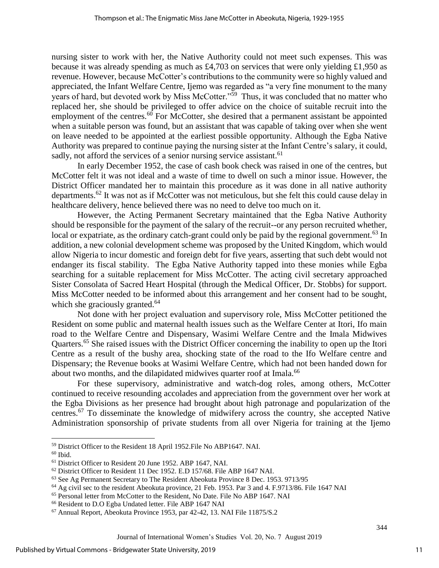nursing sister to work with her, the Native Authority could not meet such expenses. This was because it was already spending as much as £4,703 on services that were only yielding £1,950 as revenue. However, because McCotter's contributions to the community were so highly valued and appreciated, the Infant Welfare Centre, Ijemo was regarded as "a very fine monument to the many years of hard, but devoted work by Miss McCotter."<sup>59</sup> Thus, it was concluded that no matter who replaced her, she should be privileged to offer advice on the choice of suitable recruit into the employment of the centres.<sup>60</sup> For McCotter, she desired that a permanent assistant be appointed when a suitable person was found, but an assistant that was capable of taking over when she went on leave needed to be appointed at the earliest possible opportunity. Although the Egba Native Authority was prepared to continue paying the nursing sister at the Infant Centre's salary, it could, sadly, not afford the services of a senior nursing service assistant.<sup>61</sup>

 In early December 1952, the case of cash book check was raised in one of the centres, but McCotter felt it was not ideal and a waste of time to dwell on such a minor issue. However, the District Officer mandated her to maintain this procedure as it was done in all native authority departments.<sup>62</sup> It was not as if McCotter was not meticulous, but she felt this could cause delay in healthcare delivery, hence believed there was no need to delve too much on it.

However, the Acting Permanent Secretary maintained that the Egba Native Authority should be responsible for the payment of the salary of the recruit--or any person recruited whether, local or expatriate, as the ordinary catch-grant could only be paid by the regional government.<sup>63</sup> In addition, a new colonial development scheme was proposed by the United Kingdom, which would allow Nigeria to incur domestic and foreign debt for five years, asserting that such debt would not endanger its fiscal stability. The Egba Native Authority tapped into these monies while Egba searching for a suitable replacement for Miss McCotter. The acting civil secretary approached Sister Consolata of Sacred Heart Hospital (through the Medical Officer, Dr. Stobbs) for support. Miss McCotter needed to be informed about this arrangement and her consent had to be sought, which she graciously granted.<sup>64</sup>

Not done with her project evaluation and supervisory role, Miss McCotter petitioned the Resident on some public and maternal health issues such as the Welfare Center at Itori, Ifo main road to the Welfare Centre and Dispensary, Wasimi Welfare Centre and the Imala Midwives Quarters.<sup>65</sup> She raised issues with the District Officer concerning the inability to open up the Itori Centre as a result of the bushy area, shocking state of the road to the Ifo Welfare centre and Dispensary; the Revenue books at Wasimi Welfare Centre, which had not been handed down for about two months, and the dilapidated midwives quarter roof at Imala.<sup>66</sup>

For these supervisory, administrative and watch-dog roles, among others, McCotter continued to receive resounding accolades and appreciation from the government over her work at the Egba Divisions as her presence had brought about high patronage and popularization of the centres.<sup>67</sup> To disseminate the knowledge of midwifery across the country, she accepted Native Administration sponsorship of private students from all over Nigeria for training at the Ijemo

 $\overline{\phantom{a}}$ 

<sup>59</sup> District Officer to the Resident 18 April 1952.File No ABP1647. NAI.

 $^{60}$  Ibid.

<sup>61</sup> District Officer to Resident 20 June 1952. ABP 1647, NAI.

<sup>62</sup> District Officer to Resident 11 Dec 1952. E.D 157/68. File ABP 1647 NAI.

<sup>63</sup> See Ag Permanent Secretary to The Resident Abeokuta Province 8 Dec. 1953. 9713/95

<sup>64</sup> Ag civil sec to the resident Abeokuta province, 21 Feb. 1953. Par 3 and 4. F.9713/86. File 1647 NAI

<sup>65</sup> Personal letter from McCotter to the Resident, No Date. File No ABP 1647. NAI

<sup>66</sup> Resident to D.O Egba Undated letter. File ABP 1647 NAI

<sup>67</sup> Annual Report, Abeokuta Province 1953, par 42-42, 13. NAI File 11875/S.2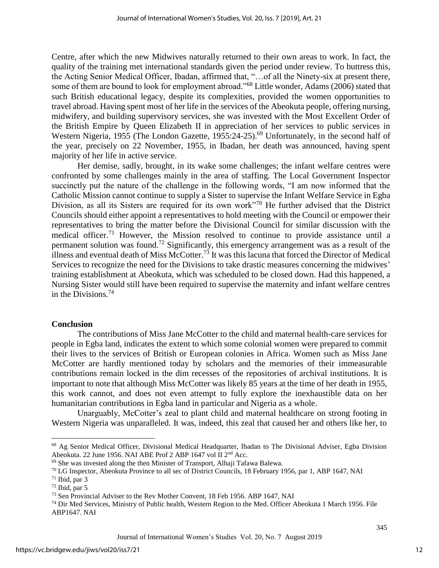Centre, after which the new Midwives naturally returned to their own areas to work. In fact, the quality of the training met international standards given the period under review. To buttress this, the Acting Senior Medical Officer, Ibadan, affirmed that, "…of all the Ninety-six at present there, some of them are bound to look for employment abroad."<sup>68</sup> Little wonder, Adams (2006) stated that such British educational legacy, despite its complexities, provided the women opportunities to travel abroad. Having spent most of her life in the services of the Abeokuta people, offering nursing, midwifery, and building supervisory services, she was invested with the Most Excellent Order of the British Empire by Queen Elizabeth II in appreciation of her services to public services in Western Nigeria, 1955 (The London Gazette, 1955:24-25).<sup>69</sup> Unfortunately, in the second half of the year, precisely on 22 November, 1955, in Ibadan, her death was announced, having spent majority of her life in active service.

Her demise, sadly, brought, in its wake some challenges; the infant welfare centres were confronted by some challenges mainly in the area of staffing. The Local Government Inspector succinctly put the nature of the challenge in the following words, "I am now informed that the Catholic Mission cannot continue to supply a Sister to supervise the Infant Welfare Service in Egba Division, as all its Sisters are required for its own work<sup>"70</sup> He further advised that the District Councils should either appoint a representatives to hold meeting with the Council or empower their representatives to bring the matter before the Divisional Council for similar discussion with the medical officer.<sup>71</sup> However, the Mission resolved to continue to provide assistance until a permanent solution was found.<sup>72</sup> Significantly, this emergency arrangement was as a result of the illness and eventual death of Miss McCotter.<sup>73</sup> It was this lacuna that forced the Director of Medical Services to recognize the need for the Divisions to take drastic measures concerning the midwives' training establishment at Abeokuta, which was scheduled to be closed down. Had this happened, a Nursing Sister would still have been required to supervise the maternity and infant welfare centres in the Divisions.<sup>74</sup>

#### **Conclusion**

The contributions of Miss Jane McCotter to the child and maternal health-care services for people in Egba land, indicates the extent to which some colonial women were prepared to commit their lives to the services of British or European colonies in Africa. Women such as Miss Jane McCotter are hardly mentioned today by scholars and the memories of their immeasurable contributions remain locked in the dim recesses of the repositories of archival institutions. It is important to note that although Miss McCotter was likely 85 years at the time of her death in 1955, this work cannot, and does not even attempt to fully explore the inexhaustible data on her humanitarian contributions in Egba land in particular and Nigeria as a whole.

Unarguably, McCotter's zeal to plant child and maternal healthcare on strong footing in Western Nigeria was unparalleled. It was, indeed, this zeal that caused her and others like her, to

 $\overline{\phantom{a}}$ 

<sup>68</sup> Ag Senior Medical Officer, Divisional Medical Headquarter, Ibadan to The Divisional Adviser, Egba Division Abeokuta. 22 June 1956. NAI ABE Prof 2 ABP 1647 vol II 2nd Acc.

<sup>69</sup> She was invested along the then Minister of Transport, Alhaji Tafawa Balewa.

 $70$  LG Inspector, Abeokuta Province to all sec of District Councils, 18 February 1956, par 1, ABP 1647, NAI

 $71$  Ibid, par 3

 $72$  Ibid, par 5

<sup>73</sup> Sen Provincial Adviser to the Rev Mother Convent, 18 Feb 1956. ABP 1647, NAI

<sup>74</sup> Dir Med Services, Ministry of Public health, Western Region to the Med. Officer Abeokuta 1 March 1956. File ABP1647. NAI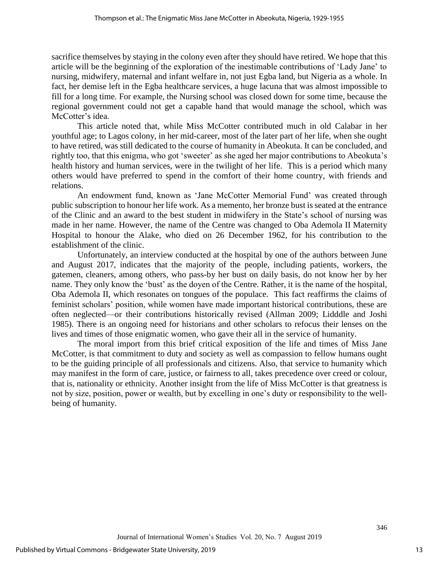sacrifice themselves by staying in the colony even after they should have retired. We hope that this article will be the beginning of the exploration of the inestimable contributions of 'Lady Jane' to nursing, midwifery, maternal and infant welfare in, not just Egba land, but Nigeria as a whole. In fact, her demise left in the Egba healthcare services, a huge lacuna that was almost impossible to fill for a long time. For example, the Nursing school was closed down for some time, because the regional government could not get a capable hand that would manage the school, which was McCotter's idea.

This article noted that, while Miss McCotter contributed much in old Calabar in her youthful age; to Lagos colony, in her mid-career, most of the later part of her life, when she ought to have retired, was still dedicated to the course of humanity in Abeokuta. It can be concluded, and rightly too, that this enigma, who got 'sweeter' as she aged her major contributions to Abeokuta's health history and human services, were in the twilight of her life. This is a period which many others would have preferred to spend in the comfort of their home country, with friends and relations.

An endowment fund, known as 'Jane McCotter Memorial Fund' was created through public subscription to honour her life work. As a memento, her bronze bust is seated at the entrance of the Clinic and an award to the best student in midwifery in the State's school of nursing was made in her name. However, the name of the Centre was changed to Oba Ademola II Maternity Hospital to honour the Alake, who died on 26 December 1962, for his contribution to the establishment of the clinic.

Unfortunately, an interview conducted at the hospital by one of the authors between June and August 2017, indicates that the majority of the people, including patients, workers, the gatemen, cleaners, among others, who pass-by her bust on daily basis, do not know her by her name. They only know the 'bust' as the doyen of the Centre. Rather, it is the name of the hospital, Oba Ademola II, which resonates on tongues of the populace. This fact reaffirms the claims of feminist scholars' position, while women have made important historical contributions, these are often neglected—or their contributions historically revised (Allman 2009; Lidddle and Joshi 1985). There is an ongoing need for historians and other scholars to refocus their lenses on the lives and times of those enigmatic women, who gave their all in the service of humanity.

The moral import from this brief critical exposition of the life and times of Miss Jane McCotter, is that commitment to duty and society as well as compassion to fellow humans ought to be the guiding principle of all professionals and citizens. Also, that service to humanity which may manifest in the form of care, justice, or fairness to all, takes precedence over creed or colour, that is, nationality or ethnicity. Another insight from the life of Miss McCotter is that greatness is not by size, position, power or wealth, but by excelling in one's duty or responsibility to the wellbeing of humanity.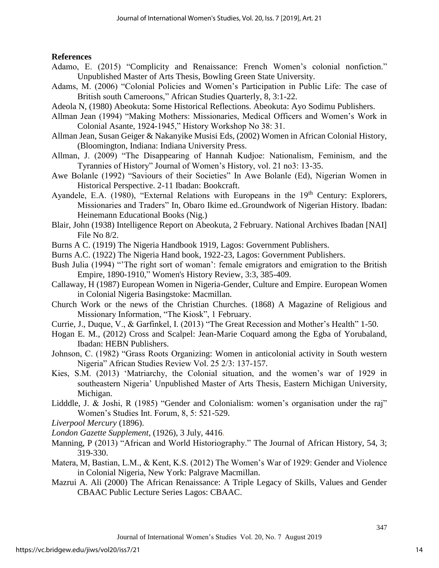# **References**

- Adamo, E. (2015) "Complicity and Renaissance: French Women's colonial nonfiction." Unpublished Master of Arts Thesis, Bowling Green State University.
- Adams, M. (2006) "Colonial Policies and Women's Participation in Public Life: The case of British south Cameroons," African Studies Quarterly, 8, 3:1-22.
- Adeola N, (1980) Abeokuta: Some Historical Reflections. Abeokuta: Ayo Sodimu Publishers.
- Allman Jean (1994) "Making Mothers: Missionaries, Medical Officers and Women's Work in Colonial Asante, 1924-1945," History Workshop No 38: 31.
- Allman Jean, Susan Geiger & Nakanyike Musisi Eds, (2002) Women in African Colonial History, (Bloomington, Indiana: Indiana University Press.
- Allman, J. (2009) "The Disappearing of Hannah Kudjoe: Nationalism, Feminism, and the Tyrannies of History" Journal of Women's History, vol. 21 no3: 13-35.
- Awe Bolanle (1992) "Saviours of their Societies" In Awe Bolanle (Ed), Nigerian Women in Historical Perspective. 2-11 Ibadan: Bookcraft.
- Ayandele, E.A. (1980), "External Relations with Europeans in the  $19<sup>th</sup>$  Century: Explorers, Missionaries and Traders" In, Obaro Ikime ed..Groundwork of Nigerian History. Ibadan: Heinemann Educational Books (Nig.)
- Blair, John (1938) Intelligence Report on Abeokuta, 2 February. National Archives Ibadan [NAI] File No 8/2.
- Burns A C. (1919) The Nigeria Handbook 1919, Lagos: Government Publishers.
- Burns A.C. (1922) The Nigeria Hand book, 1922-23, Lagos: Government Publishers.
- Bush Julia (1994) "The right sort of woman': female emigrators and emigration to the British Empire, 1890-1910," Women's History Review, 3:3, 385-409.
- Callaway, H (1987) European Women in Nigeria-Gender, Culture and Empire. European Women in Colonial Nigeria Basingstoke: Macmillan.
- Church Work or the news of the Christian Churches. (1868) A Magazine of Religious and Missionary Information, "The Kiosk", 1 February.
- Currie, J., Duque, V., & Garfinkel, I. (2013) "The Great Recession and Mother's Health" 1-50.
- Hogan E. M., (2012) Cross and Scalpel: Jean-Marie Coquard among the Egba of Yorubaland, Ibadan: HEBN Publishers.
- Johnson, C. (1982) "Grass Roots Organizing: Women in anticolonial activity in South western Nigeria" African Studies Review Vol. 25 2/3: 137-157.
- Kies, S.M. (2013) 'Matriarchy, the Colonial situation, and the women's war of 1929 in southeastern Nigeria' Unpublished Master of Arts Thesis, Eastern Michigan University, Michigan.
- Lidddle, J. & Joshi, R (1985) "Gender and Colonialism: women's organisation under the raj" Women's Studies Int. Forum, 8, 5: 521-529.
- *Liverpool Mercury* (1896).

*London Gazette Supplement*, (1926), 3 July, 4416.

- Manning, P (2013) "African and World Historiography." The Journal of African History, 54, 3; 319-330.
- Matera, M, Bastian, L.M., & Kent, K.S. (2012) The Women's War of 1929: Gender and Violence in Colonial Nigeria, New York: Palgrave Macmillan.
- Mazrui A. Ali (2000) The African Renaissance: A Triple Legacy of Skills, Values and Gender CBAAC Public Lecture Series Lagos: CBAAC.